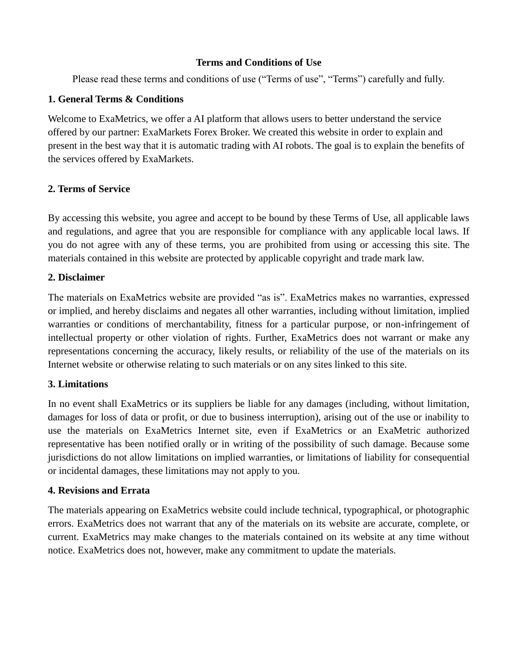### **Terms and Conditions of Use**

Please read these terms and conditions of use ("Terms of use", "Terms") carefully and fully.

### **1. General Terms & Conditions**

Welcome to ExaMetrics, we offer a AI platform that allows users to better understand the service offered by our partner: ExaMarkets Forex Broker. We created this website in order to explain and present in the best way that it is automatic trading with AI robots. The goal is to explain the benefits of the services offered by ExaMarkets.

# **2. Terms of Service**

By accessing this website, you agree and accept to be bound by these Terms of Use, all applicable laws and regulations, and agree that you are responsible for compliance with any applicable local laws. If you do not agree with any of these terms, you are prohibited from using or accessing this site. The materials contained in this website are protected by applicable copyright and trade mark law.

# **2. Disclaimer**

The materials on ExaMetrics website are provided "as is". ExaMetrics makes no warranties, expressed or implied, and hereby disclaims and negates all other warranties, including without limitation, implied warranties or conditions of merchantability, fitness for a particular purpose, or non-infringement of intellectual property or other violation of rights. Further, ExaMetrics does not warrant or make any representations concerning the accuracy, likely results, or reliability of the use of the materials on its Internet website or otherwise relating to such materials or on any sites linked to this site.

### **3. Limitations**

In no event shall ExaMetrics or its suppliers be liable for any damages (including, without limitation, damages for loss of data or profit, or due to business interruption), arising out of the use or inability to use the materials on ExaMetrics Internet site, even if ExaMetrics or an ExaMetric authorized representative has been notified orally or in writing of the possibility of such damage. Because some jurisdictions do not allow limitations on implied warranties, or limitations of liability for consequential or incidental damages, these limitations may not apply to you.

### **4. Revisions and Errata**

The materials appearing on ExaMetrics website could include technical, typographical, or photographic errors. ExaMetrics does not warrant that any of the materials on its website are accurate, complete, or current. ExaMetrics may make changes to the materials contained on its website at any time without notice. ExaMetrics does not, however, make any commitment to update the materials.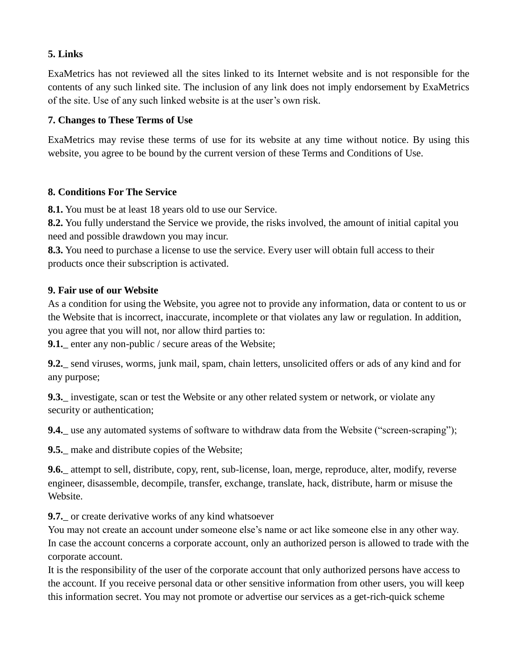# **5. Links**

ExaMetrics has not reviewed all the sites linked to its Internet website and is not responsible for the contents of any such linked site. The inclusion of any link does not imply endorsement by ExaMetrics of the site. Use of any such linked website is at the user's own risk.

### **7. Changes to These Terms of Use**

ExaMetrics may revise these terms of use for its website at any time without notice. By using this website, you agree to be bound by the current version of these Terms and Conditions of Use.

### **8. Conditions For The Service**

**8.1.** You must be at least 18 years old to use our Service.

**8.2.** You fully understand the Service we provide, the risks involved, the amount of initial capital you need and possible drawdown you may incur.

**8.3.** You need to purchase a license to use the service. Every user will obtain full access to their products once their subscription is activated.

# **9. Fair use of our Website**

As a condition for using the Website, you agree not to provide any information, data or content to us or the Website that is incorrect, inaccurate, incomplete or that violates any law or regulation. In addition, you agree that you will not, nor allow third parties to:

**9.1.** enter any non-public / secure areas of the Website;

**9.2.** send viruses, worms, junk mail, spam, chain letters, unsolicited offers or ads of any kind and for any purpose;

**9.3.** investigate, scan or test the Website or any other related system or network, or violate any security or authentication;

**9.4.** use any automated systems of software to withdraw data from the Website ("screen-scraping");

**9.5.** make and distribute copies of the Website;

**9.6.**\_ attempt to sell, distribute, copy, rent, sub-license, loan, merge, reproduce, alter, modify, reverse engineer, disassemble, decompile, transfer, exchange, translate, hack, distribute, harm or misuse the Website.

**9.7.** or create derivative works of any kind whatsoever

You may not create an account under someone else's name or act like someone else in any other way. In case the account concerns a corporate account, only an authorized person is allowed to trade with the corporate account.

It is the responsibility of the user of the corporate account that only authorized persons have access to the account. If you receive personal data or other sensitive information from other users, you will keep this information secret. You may not promote or advertise our services as a get-rich-quick scheme